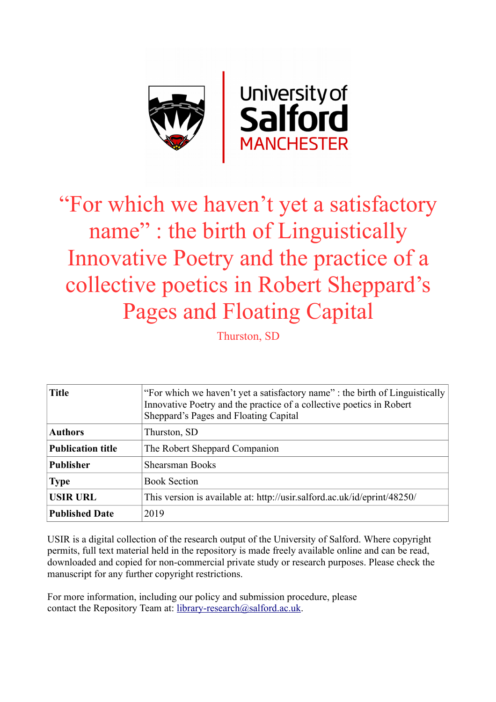

## "For which we haven't yet a satisfactory name" : the birth of Linguistically Innovative Poetry and the practice of a collective poetics in Robert Sheppard's Pages and Floating Capital

Thurston, SD

| <b>Title</b>             | "For which we haven't yet a satisfactory name" : the birth of Linguistically<br>Innovative Poetry and the practice of a collective poetics in Robert<br>Sheppard's Pages and Floating Capital |
|--------------------------|-----------------------------------------------------------------------------------------------------------------------------------------------------------------------------------------------|
| <b>Authors</b>           | Thurston, SD                                                                                                                                                                                  |
| <b>Publication title</b> | The Robert Sheppard Companion                                                                                                                                                                 |
| <b>Publisher</b>         | <b>Shearsman Books</b>                                                                                                                                                                        |
| <b>Type</b>              | <b>Book Section</b>                                                                                                                                                                           |
| <b>USIR URL</b>          | This version is available at: http://usir.salford.ac.uk/id/eprint/48250/                                                                                                                      |
| <b>Published Date</b>    | 2019                                                                                                                                                                                          |

USIR is a digital collection of the research output of the University of Salford. Where copyright permits, full text material held in the repository is made freely available online and can be read, downloaded and copied for non-commercial private study or research purposes. Please check the manuscript for any further copyright restrictions.

For more information, including our policy and submission procedure, please contact the Repository Team at: [library-research@salford.ac.uk.](mailto:library-research@salford.ac.uk)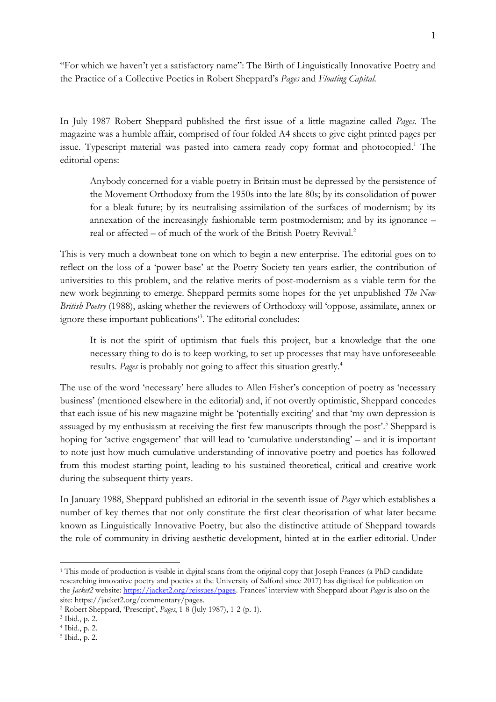"For which we haven't yet a satisfactory name": The Birth of Linguistically Innovative Poetry and the Practice of a Collective Poetics in Robert Sheppard's *Pages* and *Floating Capital.*

In July 1987 Robert Sheppard published the first issue of a little magazine called *Pages*. The magazine was a humble affair, comprised of four folded A4 sheets to give eight printed pages per issue. Typescript material was pasted into camera ready copy format and photocopied. <sup>1</sup> The editorial opens:

Anybody concerned for a viable poetry in Britain must be depressed by the persistence of the Movement Orthodoxy from the 1950s into the late 80s; by its consolidation of power for a bleak future; by its neutralising assimilation of the surfaces of modernism; by its annexation of the increasingly fashionable term postmodernism; and by its ignorance – real or affected – of much of the work of the British Poetry Revival.<sup>2</sup>

This is very much a downbeat tone on which to begin a new enterprise. The editorial goes on to reflect on the loss of a 'power base' at the Poetry Society ten years earlier, the contribution of universities to this problem, and the relative merits of post-modernism as a viable term for the new work beginning to emerge. Sheppard permits some hopes for the yet unpublished *The New British Poetry* (1988), asking whether the reviewers of Orthodoxy will 'oppose, assimilate, annex or ignore these important publications'<sup>3</sup> . The editorial concludes:

It is not the spirit of optimism that fuels this project, but a knowledge that the one necessary thing to do is to keep working, to set up processes that may have unforeseeable results. *Pages* is probably not going to affect this situation greatly.<sup>4</sup>

The use of the word 'necessary' here alludes to Allen Fisher's conception of poetry as 'necessary business' (mentioned elsewhere in the editorial) and, if not overtly optimistic, Sheppard concedes that each issue of his new magazine might be 'potentially exciting' and that 'my own depression is assuaged by my enthusiasm at receiving the first few manuscripts through the post'.<sup>5</sup> Sheppard is hoping for 'active engagement' that will lead to 'cumulative understanding' – and it is important to note just how much cumulative understanding of innovative poetry and poetics has followed from this modest starting point, leading to his sustained theoretical, critical and creative work during the subsequent thirty years.

In January 1988, Sheppard published an editorial in the seventh issue of *Pages* which establishes a number of key themes that not only constitute the first clear theorisation of what later became known as Linguistically Innovative Poetry, but also the distinctive attitude of Sheppard towards the role of community in driving aesthetic development, hinted at in the earlier editorial. Under

<sup>&</sup>lt;sup>1</sup> This mode of production is visible in digital scans from the original copy that Joseph Frances (a PhD candidate researching innovative poetry and poetics at the University of Salford since 2017) has digitised for publication on the *Jacket2* website: [https://jacket2.org/reissues/pages.](https://jacket2.org/reissues/pages) Frances' interview with Sheppard about *Pages* is also on the site: https://jacket2.org/commentary/pages.

<sup>2</sup> Robert Sheppard, 'Prescript', *Pages*, 1-8 (July 1987), 1-2 (p. 1).

<sup>3</sup> Ibid., p. 2.

<sup>4</sup> Ibid., p. 2.

<sup>5</sup> Ibid., p. 2.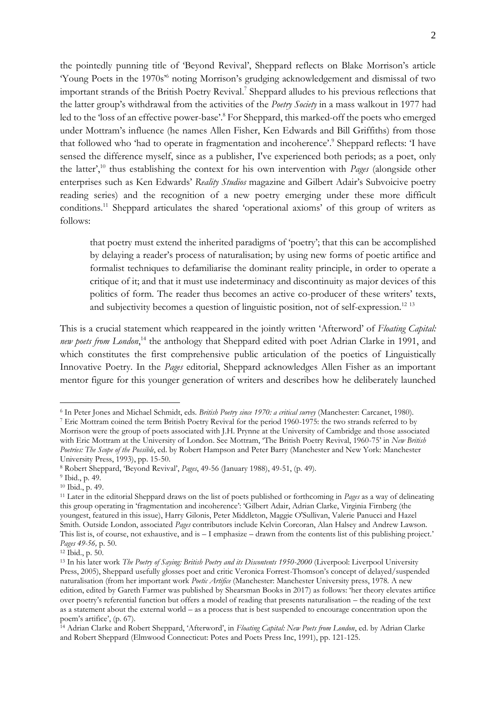the pointedly punning title of 'Beyond Revival', Sheppard reflects on Blake Morrison's article 'Young Poets in the 1970s'<sup>6</sup> noting Morrison's grudging acknowledgement and dismissal of two important strands of the British Poetry Revival. 7 Sheppard alludes to his previous reflections that the latter group's withdrawal from the activities of the *Poetry Society* in a mass walkout in 1977 had led to the 'loss of an effective power-base'.<sup>8</sup> For Sheppard, this marked-off the poets who emerged under Mottram's influence (he names Allen Fisher, Ken Edwards and Bill Griffiths) from those that followed who 'had to operate in fragmentation and incoherence'. 9 Sheppard reflects: 'I have sensed the difference myself, since as a publisher, I've experienced both periods; as a poet, only the latter', <sup>10</sup> thus establishing the context for his own intervention with *Pages* (alongside other enterprises such as Ken Edwards' *Reality Studios* magazine and Gilbert Adair's Subvoicive poetry reading series) and the recognition of a new poetry emerging under these more difficult conditions.<sup>11</sup> Sheppard articulates the shared 'operational axioms' of this group of writers as follows:

that poetry must extend the inherited paradigms of 'poetry'; that this can be accomplished by delaying a reader's process of naturalisation; by using new forms of poetic artifice and formalist techniques to defamiliarise the dominant reality principle, in order to operate a critique of it; and that it must use indeterminacy and discontinuity as major devices of this politics of form. The reader thus becomes an active co-producer of these writers' texts, and subjectivity becomes a question of linguistic position, not of self-expression.<sup>12 13</sup>

This is a crucial statement which reappeared in the jointly written 'Afterword' of *Floating Capital:*  new poets from London,<sup>14</sup> the anthology that Sheppard edited with poet Adrian Clarke in 1991, and which constitutes the first comprehensive public articulation of the poetics of Linguistically Innovative Poetry. In the *Pages* editorial, Sheppard acknowledges Allen Fisher as an important mentor figure for this younger generation of writers and describes how he deliberately launched

<sup>6</sup> In Peter Jones and Michael Schmidt, eds. *British Poetry since 1970: a critical survey* (Manchester: Carcanet, 1980).

<sup>7</sup> Eric Mottram coined the term British Poetry Revival for the period 1960-1975: the two strands referred to by Morrison were the group of poets associated with J.H. Prynne at the University of Cambridge and those associated with Eric Mottram at the University of London. See Mottram, 'The British Poetry Revival, 1960-75' in *New British Poetries: The Scope of the Possible*, ed. by Robert Hampson and Peter Barry (Manchester and New York: Manchester University Press, 1993), pp. 15-50.

<sup>8</sup> Robert Sheppard, 'Beyond Revival', *Pages*, 49-56 (January 1988), 49-51, (p. 49).

<sup>9</sup> Ibid., p. 49.

<sup>10</sup> Ibid., p. 49.

<sup>11</sup> Later in the editorial Sheppard draws on the list of poets published or forthcoming in *Pages* as a way of delineating this group operating in 'fragmentation and incoherence': 'Gilbert Adair, Adrian Clarke, Virginia Firnberg (the youngest, featured in this issue), Harry Gilonis, Peter Middleton, Maggie O'Sullivan, Valerie Panucci and Hazel Smith. Outside London, associated *Pages* contributors include Kelvin Corcoran, Alan Halsey and Andrew Lawson. This list is, of course, not exhaustive, and is – I emphasize – drawn from the contents list of this publishing project.' *Pages 49-56,* p. 50.

 $12$  Ibid., p.  $50$ .

<sup>&</sup>lt;sup>13</sup> In his later work *The Poetry of Saying: British Poetry and its Discontents 1950-2000* (Liverpool: Liverpool University Press, 2005), Sheppard usefully glosses poet and critic Veronica Forrest-Thomson's concept of delayed/suspended naturalisation (from her important work *Poetic Artifice* (Manchester: Manchester University press, 1978. A new edition, edited by Gareth Farmer was published by Shearsman Books in 2017) as follows: 'her theory elevates artifice over poetry's referential function but offers a model of reading that presents naturalisation – the reading of the text as a statement about the external world – as a process that is best suspended to encourage concentration upon the poem's artifice', (p. 67).

<sup>14</sup> Adrian Clarke and Robert Sheppard, 'Afterword', in *Floating Capital: New Poets from London*, ed. by Adrian Clarke and Robert Sheppard (Elmwood Connecticut: Potes and Poets Press Inc, 1991), pp. 121-125.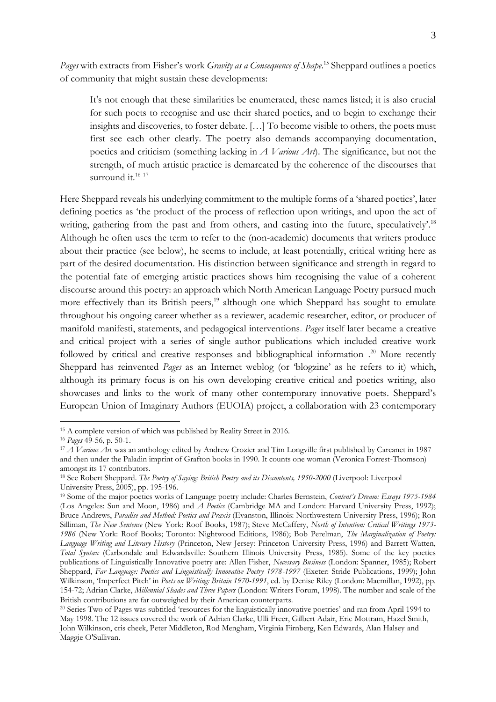*Pages* with extracts from Fisher's work *Gravity as a Consequence of Shape*. <sup>15</sup> Sheppard outlines a poetics of community that might sustain these developments:

It's not enough that these similarities be enumerated, these names listed; it is also crucial for such poets to recognise and use their shared poetics, and to begin to exchange their insights and discoveries, to foster debate. […] To become visible to others, the poets must first see each other clearly. The poetry also demands accompanying documentation, poetics and criticism (something lacking in *A Various Art*). The significance, but not the strength, of much artistic practice is demarcated by the coherence of the discourses that surround it.<sup>16 17</sup>

Here Sheppard reveals his underlying commitment to the multiple forms of a 'shared poetics', later defining poetics as 'the product of the process of reflection upon writings, and upon the act of writing, gathering from the past and from others, and casting into the future, speculatively'.<sup>18</sup> Although he often uses the term to refer to the (non-academic) documents that writers produce about their practice (see below), he seems to include, at least potentially, critical writing here as part of the desired documentation. His distinction between significance and strength in regard to the potential fate of emerging artistic practices shows him recognising the value of a coherent discourse around this poetry: an approach which North American Language Poetry pursued much more effectively than its British peers,<sup>19</sup> although one which Sheppard has sought to emulate throughout his ongoing career whether as a reviewer, academic researcher, editor, or producer of manifold manifesti, statements, and pedagogical interventions. *Pages* itself later became a creative and critical project with a series of single author publications which included creative work followed by critical and creative responses and bibliographical information .<sup>20</sup> More recently Sheppard has reinvented *Pages* as an Internet weblog (or 'blogzine' as he refers to it) which, although its primary focus is on his own developing creative critical and poetics writing, also showcases and links to the work of many other contemporary innovative poets. Sheppard's European Union of Imaginary Authors (EUOIA) project, a collaboration with 23 contemporary

<sup>15</sup> A complete version of which was published by Reality Street in 2016.

<sup>16</sup> *Pages* 49-56, p. 50-1.

<sup>17</sup> *A Various Ar*t was an anthology edited by Andrew Crozier and Tim Longville first published by Carcanet in 1987 and then under the Paladin imprint of Grafton books in 1990. It counts one woman (Veronica Forrest-Thomson) amongst its 17 contributors.

<sup>&</sup>lt;sup>18</sup> See Robert Sheppard. *The Poetry of Saying: British Poetry and its Discontents, 1950-2000* (Liverpool: Liverpool University Press, 2005), pp. 195-196.

<sup>19</sup> Some of the major poetics works of Language poetry include: Charles Bernstein, *Content's Dream: Essays 1975-1984* (Los Angeles: Sun and Moon, 1986) and *A Poetics* (Cambridge MA and London: Harvard University Press, 1992); Bruce Andrews, *Paradise and Method: Poetics and Praxis* (Evanston, Illinois: Northwestern University Press, 1996); Ron Silliman, *The New Sentence* (New York: Roof Books, 1987); Steve McCaffery, *North of Intention: Critical Writings 1973- 1986* (New York: Roof Books; Toronto: Nightwood Editions, 1986); Bob Perelman, *The Marginalization of Poetry: Language Writing and Literary History* (Princeton, New Jersey: Princeton University Press, 1996) and Barrett Watten, *Total Syntax* (Carbondale and Edwardsville: Southern Illinois University Press, 1985). Some of the key poetics publications of Linguistically Innovative poetry are: Allen Fisher, *Necessary Business* (London: Spanner, 1985); Robert Sheppard, *Far Language: Poetics and Linguistically Innovative Poetry 1978-1997* (Exeter: Stride Publications, 1999); John Wilkinson, 'Imperfect Pitch' in *Poets on Writing: Britain 1970-1991*, ed. by Denise Riley (London: Macmillan, 1992), pp. 154-72; Adrian Clarke, *Millennial Shades and Three Papers* (London: Writers Forum, 1998). The number and scale of the British contributions are far outweighed by their American counterparts.

<sup>20</sup> Series Two of Pages was subtitled 'resources for the linguistically innovative poetries' and ran from April 1994 to May 1998. The 12 issues covered the work of Adrian Clarke, Ulli Freer, Gilbert Adair, Eric Mottram, Hazel Smith, John Wilkinson, cris cheek, Peter Middleton, Rod Mengham, Virginia Firnberg, Ken Edwards, Alan Halsey and Maggie O'Sullivan.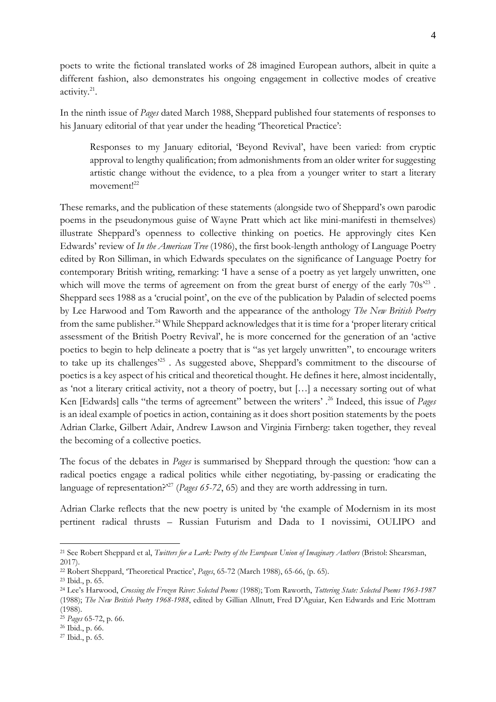poets to write the fictional translated works of 28 imagined European authors, albeit in quite a different fashion, also demonstrates his ongoing engagement in collective modes of creative activity.<sup>21</sup>.

In the ninth issue of *Pages* dated March 1988, Sheppard published four statements of responses to his January editorial of that year under the heading 'Theoretical Practice':

Responses to my January editorial, 'Beyond Revival', have been varied: from cryptic approval to lengthy qualification; from admonishments from an older writer for suggesting artistic change without the evidence, to a plea from a younger writer to start a literary movement<sup>[22</sup>

These remarks, and the publication of these statements (alongside two of Sheppard's own parodic poems in the pseudonymous guise of Wayne Pratt which act like mini-manifesti in themselves) illustrate Sheppard's openness to collective thinking on poetics. He approvingly cites Ken Edwards' review of *In the American Tree* (1986), the first book-length anthology of Language Poetry edited by Ron Silliman, in which Edwards speculates on the significance of Language Poetry for contemporary British writing, remarking: 'I have a sense of a poetry as yet largely unwritten, one which will move the terms of agreement on from the great burst of energy of the early  $70s^{23}$ . Sheppard sees 1988 as a 'crucial point', on the eve of the publication by Paladin of selected poems by Lee Harwood and Tom Raworth and the appearance of the anthology *The New British Poetry* from the same publisher.<sup>24</sup> While Sheppard acknowledges that it is time for a 'proper literary critical assessment of the British Poetry Revival', he is more concerned for the generation of an 'active poetics to begin to help delineate a poetry that is "as yet largely unwritten", to encourage writers to take up its challenges<sup>25</sup>. As suggested above, Sheppard's commitment to the discourse of poetics is a key aspect of his critical and theoretical thought. He defines it here, almost incidentally, as 'not a literary critical activity, not a theory of poetry, but […] a necessary sorting out of what Ken [Edwards] calls "the terms of agreement" between the writers' . <sup>26</sup> Indeed, this issue of *Pages* is an ideal example of poetics in action, containing as it does short position statements by the poets Adrian Clarke, Gilbert Adair, Andrew Lawson and Virginia Firnberg: taken together, they reveal the becoming of a collective poetics.

The focus of the debates in *Pages* is summarised by Sheppard through the question: 'how can a radical poetics engage a radical politics while either negotiating, by-passing or eradicating the language of representation?<sup>27</sup> (*Pages 65-72*, 65) and they are worth addressing in turn.

Adrian Clarke reflects that the new poetry is united by 'the example of Modernism in its most pertinent radical thrusts – Russian Futurism and Dada to I novissimi, OULIPO and

<sup>21</sup> See Robert Sheppard et al, *Twitters for a Lark: Poetry of the European Union of Imaginary Authors* (Bristol: Shearsman, 2017).

<sup>22</sup> Robert Sheppard, 'Theoretical Practice', *Pages*, 65-72 (March 1988), 65-66, (p. 65).

<sup>23</sup> Ibid., p. 65.

<sup>24</sup> Lee's Harwood, *Crossing the Frozen River: Selected Poems* (1988); Tom Raworth, *Tottering State: Selected Poems 1963-1987* (1988); *The New British Poetry 1968-1988*, edited by Gillian Allnutt, Fred D'Aguiar, Ken Edwards and Eric Mottram (1988).

<sup>25</sup> *Pages* 65-72, p. 66.

<sup>26</sup> Ibid., p. 66.

<sup>27</sup> Ibid., p. 65.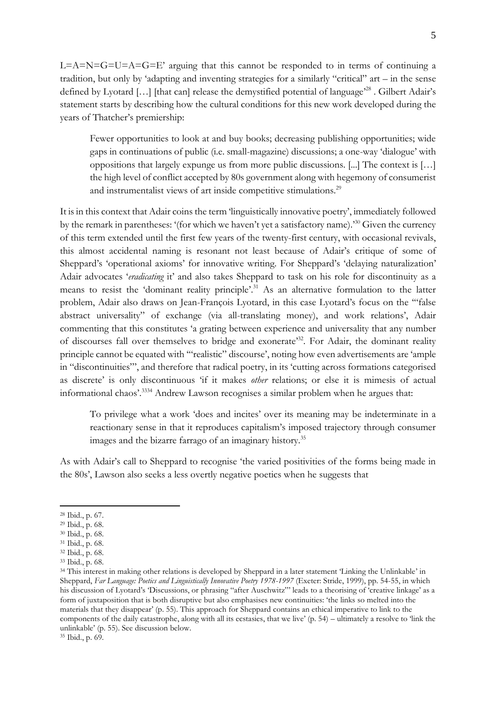$L=A=N=G=U=A=GE'$  arguing that this cannot be responded to in terms of continuing a tradition, but only by 'adapting and inventing strategies for a similarly "critical" art – in the sense defined by Lyotard [...] [that can] release the demystified potential of language<sup>28</sup>. Gilbert Adair's statement starts by describing how the cultural conditions for this new work developed during the years of Thatcher's premiership:

Fewer opportunities to look at and buy books; decreasing publishing opportunities; wide gaps in continuations of public (i.e. small-magazine) discussions; a one-way 'dialogue' with oppositions that largely expunge us from more public discussions. [...] The context is […] the high level of conflict accepted by 80s government along with hegemony of consumerist and instrumentalist views of art inside competitive stimulations.<sup>29</sup>

It is in this context that Adair coins the term 'linguistically innovative poetry', immediately followed by the remark in parentheses: '(for which we haven't yet a satisfactory name).<sup>30</sup> Given the currency of this term extended until the first few years of the twenty-first century, with occasional revivals, this almost accidental naming is resonant not least because of Adair's critique of some of Sheppard's 'operational axioms' for innovative writing. For Sheppard's 'delaying naturalization' Adair advocates '*eradicating* it' and also takes Sheppard to task on his role for discontinuity as a means to resist the 'dominant reality principle'.<sup>31</sup> As an alternative formulation to the latter problem, Adair also draws on Jean-François Lyotard, in this case Lyotard's focus on the '"false abstract universality" of exchange (via all-translating money), and work relations', Adair commenting that this constitutes 'a grating between experience and universality that any number of discourses fall over themselves to bridge and exonerate<sup>332</sup>. For Adair, the dominant reality principle cannot be equated with '"realistic" discourse', noting how even advertisements are 'ample in "discontinuities"', and therefore that radical poetry, in its 'cutting across formations categorised as discrete' is only discontinuous 'if it makes *other* relations; or else it is mimesis of actual informational chaos'. <sup>3334</sup> Andrew Lawson recognises a similar problem when he argues that:

To privilege what a work 'does and incites' over its meaning may be indeterminate in a reactionary sense in that it reproduces capitalism's imposed trajectory through consumer images and the bizarre farrago of an imaginary history.<sup>35</sup>

As with Adair's call to Sheppard to recognise 'the varied positivities of the forms being made in the 80s', Lawson also seeks a less overtly negative poetics when he suggests that

<sup>28</sup> Ibid., p. 67.

<sup>29</sup> Ibid., p. 68.

<sup>30</sup> Ibid., p. 68. <sup>31</sup> Ibid., p. 68.

<sup>32</sup> Ibid., p. 68.

<sup>33</sup> Ibid., p. 68.

<sup>34</sup> This interest in making other relations is developed by Sheppard in a later statement 'Linking the Unlinkable' in Sheppard, *Far Language: Poetics and Linguistically Innovative Poetry 1978-1997* (Exeter: Stride, 1999), pp. 54-55, in which his discussion of Lyotard's 'Discussions, or phrasing "after Auschwitz"' leads to a theorising of 'creative linkage' as a form of juxtaposition that is both disruptive but also emphasises new continuities: 'the links so melted into the materials that they disappear' (p. 55). This approach for Sheppard contains an ethical imperative to link to the components of the daily catastrophe, along with all its ecstasies, that we live' (p. 54) – ultimately a resolve to 'link the unlinkable' (p. 55). See discussion below. <sup>35</sup> Ibid., p. 69.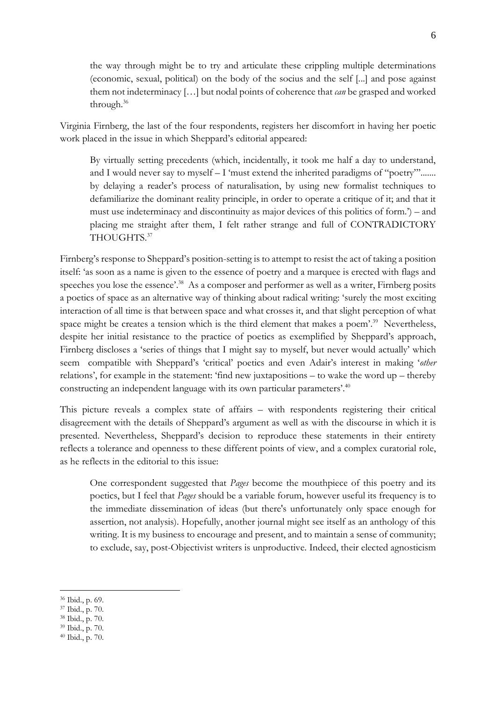the way through might be to try and articulate these crippling multiple determinations (economic, sexual, political) on the body of the socius and the self [...] and pose against them not indeterminacy […] but nodal points of coherence that *can* be grasped and worked through.<sup>36</sup>

Virginia Firnberg, the last of the four respondents, registers her discomfort in having her poetic work placed in the issue in which Sheppard's editorial appeared:

By virtually setting precedents (which, incidentally, it took me half a day to understand, and I would never say to myself – I 'must extend the inherited paradigms of "poetry"'....... by delaying a reader's process of naturalisation, by using new formalist techniques to defamiliarize the dominant reality principle, in order to operate a critique of it; and that it must use indeterminacy and discontinuity as major devices of this politics of form.') – and placing me straight after them, I felt rather strange and full of CONTRADICTORY THOUGHTS. 37

Firnberg's response to Sheppard's position-setting is to attempt to resist the act of taking a position itself: 'as soon as a name is given to the essence of poetry and a marquee is erected with flags and speeches you lose the essence'.<sup>38</sup> As a composer and performer as well as a writer, Firnberg posits a poetics of space as an alternative way of thinking about radical writing: 'surely the most exciting interaction of all time is that between space and what crosses it, and that slight perception of what space might be creates a tension which is the third element that makes a poem'.<sup>39</sup> Nevertheless, despite her initial resistance to the practice of poetics as exemplified by Sheppard's approach, Firnberg discloses a 'series of things that I might say to myself, but never would actually' which seem compatible with Sheppard's 'critical' poetics and even Adair's interest in making '*other* relations', for example in the statement: 'find new juxtapositions – to wake the word up – thereby constructing an independent language with its own particular parameters'. 40

This picture reveals a complex state of affairs – with respondents registering their critical disagreement with the details of Sheppard's argument as well as with the discourse in which it is presented. Nevertheless, Sheppard's decision to reproduce these statements in their entirety reflects a tolerance and openness to these different points of view, and a complex curatorial role, as he reflects in the editorial to this issue:

One correspondent suggested that *Pages* become the mouthpiece of this poetry and its poetics, but I feel that *Pages* should be a variable forum, however useful its frequency is to the immediate dissemination of ideas (but there's unfortunately only space enough for assertion, not analysis). Hopefully, another journal might see itself as an anthology of this writing. It is my business to encourage and present, and to maintain a sense of community; to exclude, say, post-Objectivist writers is unproductive. Indeed, their elected agnosticism

<sup>36</sup> Ibid., p. 69.

<sup>37</sup> Ibid., p. 70.

<sup>38</sup> Ibid., p. 70.

<sup>39</sup> Ibid., p. 70.

<sup>40</sup> Ibid., p. 70.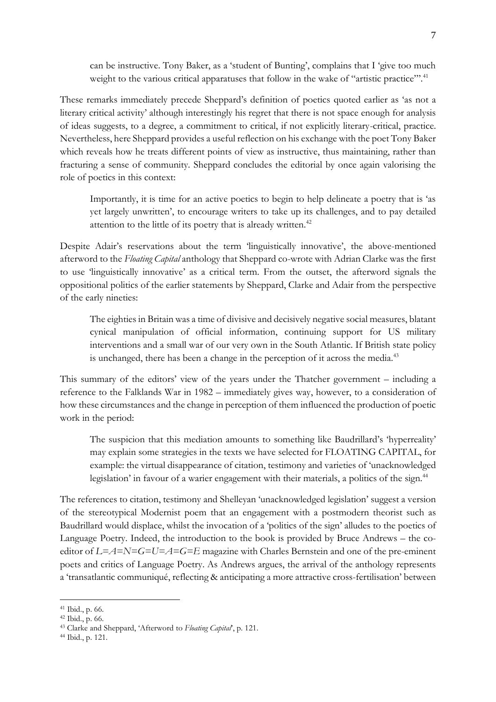can be instructive. Tony Baker, as a 'student of Bunting', complains that I 'give too much weight to the various critical apparatuses that follow in the wake of "artistic practice".<sup>41</sup>

These remarks immediately precede Sheppard's definition of poetics quoted earlier as 'as not a literary critical activity' although interestingly his regret that there is not space enough for analysis of ideas suggests, to a degree, a commitment to critical, if not explicitly literary-critical, practice. Nevertheless, here Sheppard provides a useful reflection on his exchange with the poet Tony Baker which reveals how he treats different points of view as instructive, thus maintaining, rather than fracturing a sense of community. Sheppard concludes the editorial by once again valorising the role of poetics in this context:

Importantly, it is time for an active poetics to begin to help delineate a poetry that is 'as yet largely unwritten', to encourage writers to take up its challenges, and to pay detailed attention to the little of its poetry that is already written.<sup>42</sup>

Despite Adair's reservations about the term 'linguistically innovative', the above-mentioned afterword to the *Floating Capital* anthology that Sheppard co-wrote with Adrian Clarke was the first to use 'linguistically innovative' as a critical term. From the outset, the afterword signals the oppositional politics of the earlier statements by Sheppard, Clarke and Adair from the perspective of the early nineties:

The eighties in Britain was a time of divisive and decisively negative social measures, blatant cynical manipulation of official information, continuing support for US military interventions and a small war of our very own in the South Atlantic. If British state policy is unchanged, there has been a change in the perception of it across the media.<sup>43</sup>

This summary of the editors' view of the years under the Thatcher government – including a reference to the Falklands War in 1982 – immediately gives way, however, to a consideration of how these circumstances and the change in perception of them influenced the production of poetic work in the period:

The suspicion that this mediation amounts to something like Baudrillard's 'hyperreality' may explain some strategies in the texts we have selected for FLOATING CAPITAL, for example: the virtual disappearance of citation, testimony and varieties of 'unacknowledged legislation' in favour of a warier engagement with their materials, a politics of the sign.<sup>44</sup>

The references to citation, testimony and Shelleyan 'unacknowledged legislation' suggest a version of the stereotypical Modernist poem that an engagement with a postmodern theorist such as Baudrillard would displace, whilst the invocation of a 'politics of the sign' alludes to the poetics of Language Poetry. Indeed, the introduction to the book is provided by Bruce Andrews – the coeditor of *L=A=N=G=U=A=G=E* magazine with Charles Bernstein and one of the pre-eminent poets and critics of Language Poetry. As Andrews argues, the arrival of the anthology represents a 'transatlantic communiqué, reflecting & anticipating a more attractive cross-fertilisation' between

<sup>41</sup> Ibid., p. 66.

<sup>42</sup> Ibid., p. 66.

<sup>43</sup> Clarke and Sheppard, 'Afterword to *Floating Capital*', p. 121.

<sup>44</sup> Ibid., p. 121.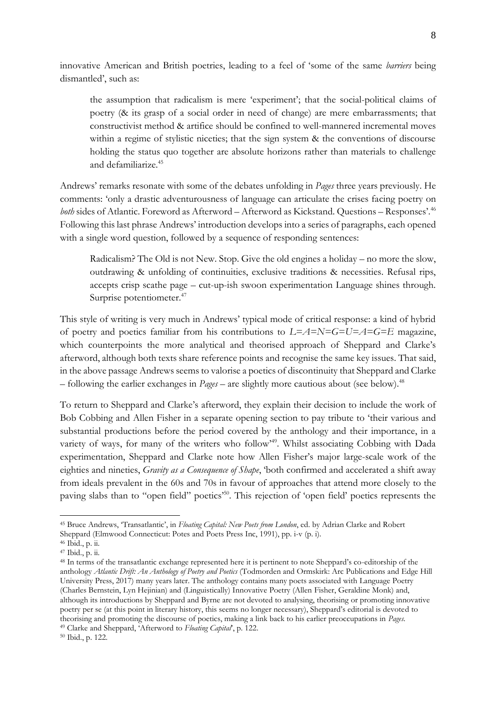innovative American and British poetries, leading to a feel of 'some of the same *barriers* being dismantled', such as:

the assumption that radicalism is mere 'experiment'; that the social-political claims of poetry (& its grasp of a social order in need of change) are mere embarrassments; that constructivist method & artifice should be confined to well-mannered incremental moves within a regime of stylistic niceties; that the sign system & the conventions of discourse holding the status quo together are absolute horizons rather than materials to challenge and defamiliarize.<sup>45</sup>

Andrews' remarks resonate with some of the debates unfolding in *Pages* three years previously. He comments: 'only a drastic adventurousness of language can articulate the crises facing poetry on both sides of Atlantic. Foreword as Afterword - Afterword as Kickstand. Questions - Responses'.<sup>46</sup> Following this last phrase Andrews' introduction develops into a series of paragraphs, each opened with a single word question, followed by a sequence of responding sentences:

Radicalism? The Old is not New. Stop. Give the old engines a holiday – no more the slow, outdrawing & unfolding of continuities, exclusive traditions & necessities. Refusal rips, accepts crisp scathe page – cut-up-ish swoon experimentation Language shines through. Surprise potentiometer.<sup>47</sup>

This style of writing is very much in Andrews' typical mode of critical response: a kind of hybrid of poetry and poetics familiar from his contributions to *L=A=N=G=U=A=G=E* magazine, which counterpoints the more analytical and theorised approach of Sheppard and Clarke's afterword, although both texts share reference points and recognise the same key issues. That said, in the above passage Andrews seems to valorise a poetics of discontinuity that Sheppard and Clarke – following the earlier exchanges in *Pages* – are slightly more cautious about (see below).<sup>48</sup>

To return to Sheppard and Clarke's afterword, they explain their decision to include the work of Bob Cobbing and Allen Fisher in a separate opening section to pay tribute to 'their various and substantial productions before the period covered by the anthology and their importance, in a variety of ways, for many of the writers who follow<sup>149</sup>. Whilst associating Cobbing with Dada experimentation, Sheppard and Clarke note how Allen Fisher's major large-scale work of the eighties and nineties, *Gravity as a Consequence of Shape*, 'both confirmed and accelerated a shift away from ideals prevalent in the 60s and 70s in favour of approaches that attend more closely to the paving slabs than to "open field" poetics<sup>550</sup>. This rejection of 'open field' poetics represents the

<sup>45</sup> Bruce Andrews, 'Transatlantic', in *Floating Capital: New Poets from London*, ed. by Adrian Clarke and Robert Sheppard (Elmwood Connecticut: Potes and Poets Press Inc, 1991), pp. i-v (p. i).

<sup>46</sup> Ibid., p. ii.

<sup>47</sup> Ibid., p. ii.

<sup>48</sup> In terms of the transatlantic exchange represented here it is pertinent to note Sheppard's co-editorship of the anthology *Atlantic Drift: An Anthology of Poetry and Poetics* (Todmorden and Ormskirk: Arc Publications and Edge Hill University Press, 2017) many years later. The anthology contains many poets associated with Language Poetry (Charles Bernstein, Lyn Hejinian) and (Linguistically) Innovative Poetry (Allen Fisher, Geraldine Monk) and, although its introductions by Sheppard and Byrne are not devoted to analysing, theorising or promoting innovative poetry per se (at this point in literary history, this seems no longer necessary), Sheppard's editorial is devoted to theorising and promoting the discourse of poetics, making a link back to his earlier preoccupations in *Pages*. <sup>49</sup> Clarke and Sheppard, 'Afterword to *Floating Capital*', p. 122.

<sup>50</sup> Ibid., p. 122.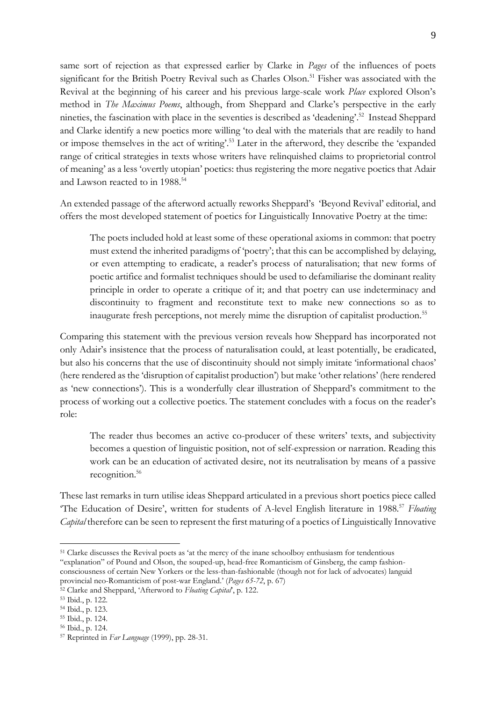same sort of rejection as that expressed earlier by Clarke in *Pages* of the influences of poets significant for the British Poetry Revival such as Charles Olson.<sup>51</sup> Fisher was associated with the Revival at the beginning of his career and his previous large-scale work *Place* explored Olson's method in *The Maximus Poems*, although, from Sheppard and Clarke's perspective in the early nineties, the fascination with place in the seventies is described as 'deadening'. <sup>52</sup> Instead Sheppard and Clarke identify a new poetics more willing 'to deal with the materials that are readily to hand or impose themselves in the act of writing'. <sup>53</sup> Later in the afterword, they describe the 'expanded range of critical strategies in texts whose writers have relinquished claims to proprietorial control of meaning' as a less 'overtly utopian' poetics: thus registering the more negative poetics that Adair and Lawson reacted to in 1988. 54

An extended passage of the afterword actually reworks Sheppard's 'Beyond Revival' editorial, and offers the most developed statement of poetics for Linguistically Innovative Poetry at the time:

The poets included hold at least some of these operational axioms in common: that poetry must extend the inherited paradigms of 'poetry'; that this can be accomplished by delaying, or even attempting to eradicate, a reader's process of naturalisation; that new forms of poetic artifice and formalist techniques should be used to defamiliarise the dominant reality principle in order to operate a critique of it; and that poetry can use indeterminacy and discontinuity to fragment and reconstitute text to make new connections so as to inaugurate fresh perceptions, not merely mime the disruption of capitalist production.<sup>55</sup>

Comparing this statement with the previous version reveals how Sheppard has incorporated not only Adair's insistence that the process of naturalisation could, at least potentially, be eradicated, but also his concerns that the use of discontinuity should not simply imitate 'informational chaos' (here rendered as the 'disruption of capitalist production') but make 'other relations' (here rendered as 'new connections'). This is a wonderfully clear illustration of Sheppard's commitment to the process of working out a collective poetics. The statement concludes with a focus on the reader's role:

The reader thus becomes an active co-producer of these writers' texts, and subjectivity becomes a question of linguistic position, not of self-expression or narration. Reading this work can be an education of activated desire, not its neutralisation by means of a passive recognition.<sup>56</sup>

These last remarks in turn utilise ideas Sheppard articulated in a previous short poetics piece called 'The Education of Desire', written for students of A-level English literature in 1988.<sup>57</sup> *Floating Capital* therefore can be seen to represent the first maturing of a poetics of Linguistically Innovative

<sup>51</sup> Clarke discusses the Revival poets as 'at the mercy of the inane schoolboy enthusiasm for tendentious "explanation" of Pound and Olson, the souped-up, head-free Romanticism of Ginsberg, the camp fashionconsciousness of certain New Yorkers or the less-than-fashionable (though not for lack of advocates) languid provincial neo-Romanticism of post-war England.' (*Pages 65-72*, p. 67)

<sup>52</sup> Clarke and Sheppard, 'Afterword to *Floating Capital*', p. 122.

<sup>53</sup> Ibid., p. 122.

<sup>54</sup> Ibid., p. 123.

<sup>55</sup> Ibid., p. 124.

<sup>56</sup> Ibid., p. 124.

<sup>57</sup> Reprinted in *Far Language* (1999), pp. 28-31.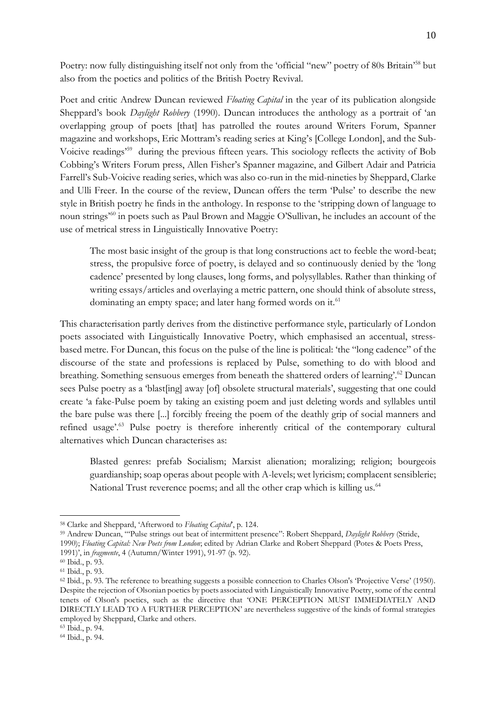Poetry: now fully distinguishing itself not only from the 'official "new" poetry of 80s Britain<sup>58</sup> but also from the poetics and politics of the British Poetry Revival.

Poet and critic Andrew Duncan reviewed *Floating Capital* in the year of its publication alongside Sheppard's book *Daylight Robbery* (1990). Duncan introduces the anthology as a portrait of 'an overlapping group of poets [that] has patrolled the routes around Writers Forum, Spanner magazine and workshops, Eric Mottram's reading series at King's [College London], and the Sub-Voicive readings'<sup>59</sup> during the previous fifteen years. This sociology reflects the activity of Bob Cobbing's Writers Forum press, Allen Fisher's Spanner magazine, and Gilbert Adair and Patricia Farrell's Sub-Voicive reading series, which was also co-run in the mid-nineties by Sheppard, Clarke and Ulli Freer. In the course of the review, Duncan offers the term 'Pulse' to describe the new style in British poetry he finds in the anthology. In response to the 'stripping down of language to noun strings'<sup>60</sup> in poets such as Paul Brown and Maggie O'Sullivan, he includes an account of the use of metrical stress in Linguistically Innovative Poetry:

The most basic insight of the group is that long constructions act to feeble the word-beat; stress, the propulsive force of poetry, is delayed and so continuously denied by the 'long cadence' presented by long clauses, long forms, and polysyllables. Rather than thinking of writing essays/articles and overlaying a metric pattern, one should think of absolute stress, dominating an empty space; and later hang formed words on it.<sup>61</sup>

This characterisation partly derives from the distinctive performance style, particularly of London poets associated with Linguistically Innovative Poetry, which emphasised an accentual, stressbased metre. For Duncan, this focus on the pulse of the line is political: 'the "long cadence" of the discourse of the state and professions is replaced by Pulse, something to do with blood and breathing. Something sensuous emerges from beneath the shattered orders of learning'.<sup>62</sup> Duncan sees Pulse poetry as a 'blast[ing] away [of] obsolete structural materials', suggesting that one could create 'a fake-Pulse poem by taking an existing poem and just deleting words and syllables until the bare pulse was there [...] forcibly freeing the poem of the deathly grip of social manners and refined usage'.<sup>63</sup> Pulse poetry is therefore inherently critical of the contemporary cultural alternatives which Duncan characterises as:

Blasted genres: prefab Socialism; Marxist alienation; moralizing; religion; bourgeois guardianship; soap operas about people with A-levels; wet lyricism; complacent sensiblerie; National Trust reverence poems; and all the other crap which is killing us.<sup>64</sup>

<sup>58</sup> Clarke and Sheppard, 'Afterword to *Floating Capital*', p. 124.

<sup>59</sup> Andrew Duncan, "'Pulse strings out beat of intermittent presence": Robert Sheppard, *Daylight Robbery* (Stride, 1990); *Floating Capital: New Poets from London*; edited by Adrian Clarke and Robert Sheppard (Potes & Poets Press, 1991)', in *fragmente*, 4 (Autumn/Winter 1991), 91-97 (p. 92).

<sup>60</sup> Ibid., p. 93.

<sup>61</sup> Ibid., p. 93.

 $62$  Ibid., p. 93. The reference to breathing suggests a possible connection to Charles Olson's 'Projective Verse' (1950). Despite the rejection of Olsonian poetics by poets associated with Linguistically Innovative Poetry, some of the central tenets of Olson's poetics, such as the directive that 'ONE PERCEPTION MUST IMMEDIATELY AND DIRECTLY LEAD TO A FURTHER PERCEPTION' are nevertheless suggestive of the kinds of formal strategies employed by Sheppard, Clarke and others.

<sup>63</sup> Ibid., p. 94.

<sup>64</sup> Ibid., p. 94.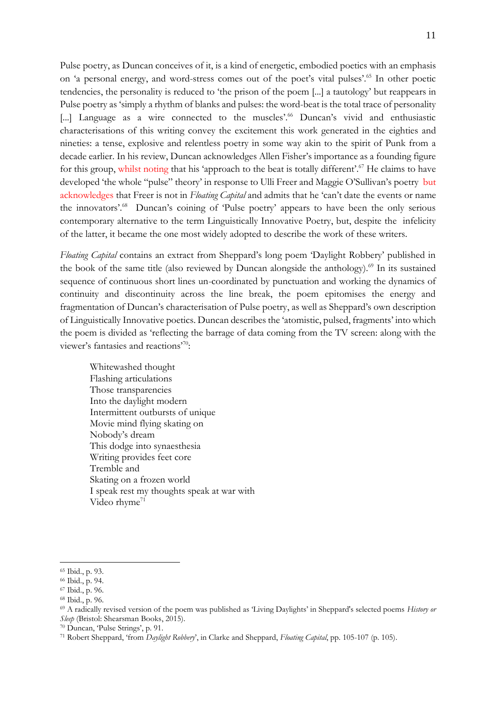Pulse poetry, as Duncan conceives of it, is a kind of energetic, embodied poetics with an emphasis on 'a personal energy, and word-stress comes out of the poet's vital pulses'. <sup>65</sup> In other poetic tendencies, the personality is reduced to 'the prison of the poem [...] a tautology' but reappears in Pulse poetry as 'simply a rhythm of blanks and pulses: the word-beat is the total trace of personality [...] Language as a wire connected to the muscles'.<sup>66</sup> Duncan's vivid and enthusiastic characterisations of this writing convey the excitement this work generated in the eighties and nineties: a tense, explosive and relentless poetry in some way akin to the spirit of Punk from a decade earlier. In his review, Duncan acknowledges Allen Fisher's importance as a founding figure for this group, whilst noting that his 'approach to the beat is totally different'.<sup>67</sup> He claims to have developed 'the whole "pulse" theory' in response to Ulli Freer and Maggie O'Sullivan's poetry but acknowledges that Freer is not in *Floating Capital* and admits that he 'can't date the events or name the innovators'. <sup>68</sup> Duncan's coining of 'Pulse poetry' appears to have been the only serious contemporary alternative to the term Linguistically Innovative Poetry, but, despite the infelicity of the latter, it became the one most widely adopted to describe the work of these writers.

*Floating Capital* contains an extract from Sheppard's long poem 'Daylight Robbery' published in the book of the same title (also reviewed by Duncan alongside the anthology). <sup>69</sup> In its sustained sequence of continuous short lines un-coordinated by punctuation and working the dynamics of continuity and discontinuity across the line break, the poem epitomises the energy and fragmentation of Duncan's characterisation of Pulse poetry, as well as Sheppard's own description of Linguistically Innovative poetics. Duncan describes the 'atomistic, pulsed, fragments' into which the poem is divided as 'reflecting the barrage of data coming from the TV screen: along with the viewer's fantasies and reactions'<sup>70</sup>:

Whitewashed thought Flashing articulations Those transparencies Into the daylight modern Intermittent outbursts of unique Movie mind flying skating on Nobody's dream This dodge into synaesthesia Writing provides feet core Tremble and Skating on a frozen world I speak rest my thoughts speak at war with Video rhyme $71$ 

<sup>65</sup> Ibid., p. 93.

<sup>66</sup> Ibid., p. 94.

<sup>67</sup> Ibid., p. 96.

<sup>68</sup> Ibid., p. 96.

<sup>69</sup> A radically revised version of the poem was published as 'Living Daylights' in Sheppard's selected poems *History or Sleep* (Bristol: Shearsman Books, 2015).

<sup>70</sup> Duncan, 'Pulse Strings', p. 91.

<sup>71</sup> Robert Sheppard, 'from *Daylight Robbery*', in Clarke and Sheppard, *Floating Capital*, pp. 105-107 (p. 105).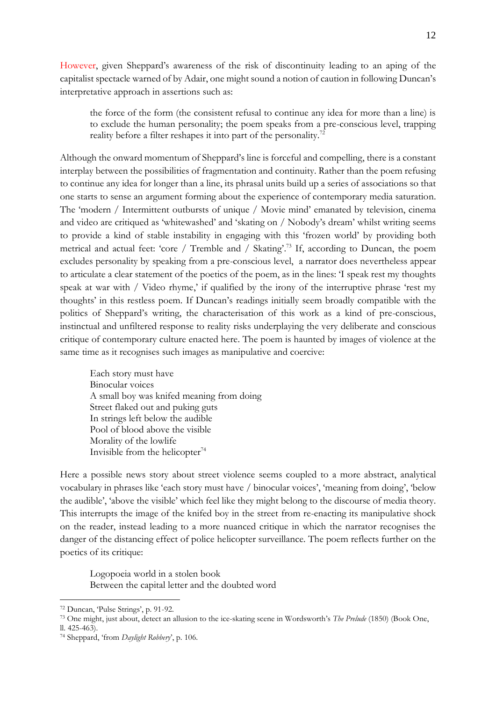However, given Sheppard's awareness of the risk of discontinuity leading to an aping of the capitalist spectacle warned of by Adair, one might sound a notion of caution in following Duncan's interpretative approach in assertions such as:

the force of the form (the consistent refusal to continue any idea for more than a line) is to exclude the human personality; the poem speaks from a pre-conscious level, trapping reality before a filter reshapes it into part of the personality.<sup>72</sup>

Although the onward momentum of Sheppard's line is forceful and compelling, there is a constant interplay between the possibilities of fragmentation and continuity. Rather than the poem refusing to continue any idea for longer than a line, its phrasal units build up a series of associations so that one starts to sense an argument forming about the experience of contemporary media saturation. The 'modern / Intermittent outbursts of unique / Movie mind' emanated by television, cinema and video are critiqued as 'whitewashed' and 'skating on / Nobody's dream' whilst writing seems to provide a kind of stable instability in engaging with this 'frozen world' by providing both metrical and actual feet: 'core / Tremble and / Skating'.<sup>73</sup> If, according to Duncan, the poem excludes personality by speaking from a pre-conscious level, a narrator does nevertheless appear to articulate a clear statement of the poetics of the poem, as in the lines: 'I speak rest my thoughts speak at war with / Video rhyme,' if qualified by the irony of the interruptive phrase 'rest my thoughts' in this restless poem. If Duncan's readings initially seem broadly compatible with the politics of Sheppard's writing, the characterisation of this work as a kind of pre-conscious, instinctual and unfiltered response to reality risks underplaying the very deliberate and conscious critique of contemporary culture enacted here. The poem is haunted by images of violence at the same time as it recognises such images as manipulative and coercive:

Each story must have Binocular voices A small boy was knifed meaning from doing Street flaked out and puking guts In strings left below the audible Pool of blood above the visible Morality of the lowlife Invisible from the helicopter<sup>74</sup>

Here a possible news story about street violence seems coupled to a more abstract, analytical vocabulary in phrases like 'each story must have / binocular voices', 'meaning from doing', 'below the audible', 'above the visible' which feel like they might belong to the discourse of media theory. This interrupts the image of the knifed boy in the street from re-enacting its manipulative shock on the reader, instead leading to a more nuanced critique in which the narrator recognises the danger of the distancing effect of police helicopter surveillance. The poem reflects further on the poetics of its critique:

Logopoeia world in a stolen book Between the capital letter and the doubted word

<sup>72</sup> Duncan, 'Pulse Strings', p. 91-92.

<sup>73</sup> One might, just about, detect an allusion to the ice-skating scene in Wordsworth's *The Prelude* (1850) (Book One,

ll. 425-463).

<sup>74</sup> Sheppard, 'from *Daylight Robbery*', p. 106.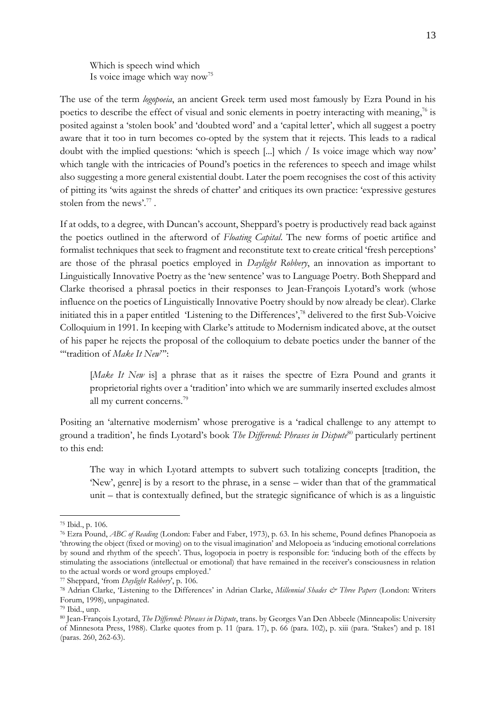Which is speech wind which Is voice image which way now<sup>75</sup>

The use of the term *logopoeia*, an ancient Greek term used most famously by Ezra Pound in his poetics to describe the effect of visual and sonic elements in poetry interacting with meaning,<sup>76</sup> is posited against a 'stolen book' and 'doubted word' and a 'capital letter', which all suggest a poetry aware that it too in turn becomes co-opted by the system that it rejects. This leads to a radical doubt with the implied questions: 'which is speech [...] which / Is voice image which way now' which tangle with the intricacies of Pound's poetics in the references to speech and image whilst also suggesting a more general existential doubt. Later the poem recognises the cost of this activity of pitting its 'wits against the shreds of chatter' and critiques its own practice: 'expressive gestures stolen from the news'. 77 .

If at odds, to a degree, with Duncan's account, Sheppard's poetry is productively read back against the poetics outlined in the afterword of *Floating Capital*. The new forms of poetic artifice and formalist techniques that seek to fragment and reconstitute text to create critical 'fresh perceptions' are those of the phrasal poetics employed in *Daylight Robbery*, an innovation as important to Linguistically Innovative Poetry as the 'new sentence' was to Language Poetry. Both Sheppard and Clarke theorised a phrasal poetics in their responses to Jean-François Lyotard's work (whose influence on the poetics of Linguistically Innovative Poetry should by now already be clear). Clarke initiated this in a paper entitled 'Listening to the Differences', <sup>78</sup> delivered to the first Sub-Voicive Colloquium in 1991. In keeping with Clarke's attitude to Modernism indicated above, at the outset of his paper he rejects the proposal of the colloquium to debate poetics under the banner of the '''tradition of *Make It New*''':

[*Make It New* is] a phrase that as it raises the spectre of Ezra Pound and grants it proprietorial rights over a 'tradition' into which we are summarily inserted excludes almost all my current concerns.<sup>79</sup>

Positing an 'alternative modernism' whose prerogative is a 'radical challenge to any attempt to ground a tradition', he finds Lyotard's book *The Differend: Phrases in Dispute*<sup>80</sup> particularly pertinent to this end:

The way in which Lyotard attempts to subvert such totalizing concepts [tradition, the 'New', genre] is by a resort to the phrase, in a sense – wider than that of the grammatical unit – that is contextually defined, but the strategic significance of which is as a linguistic

<sup>75</sup> Ibid., p. 106.

<sup>76</sup> Ezra Pound, *ABC of Reading* (London: Faber and Faber, 1973), p. 63. In his scheme, Pound defines Phanopoeia as 'throwing the object (fixed or moving) on to the visual imagination' and Melopoeia as 'inducing emotional correlations by sound and rhythm of the speech'. Thus, logopoeia in poetry is responsible for: 'inducing both of the effects by stimulating the associations (intellectual or emotional) that have remained in the receiver's consciousness in relation to the actual words or word groups employed.'

<sup>77</sup> Sheppard, 'from *Daylight Robbery*', p. 106.

<sup>78</sup> Adrian Clarke, 'Listening to the Differences' in Adrian Clarke, *Millennial Shades & Three Papers* (London: Writers Forum, 1998), unpaginated.

<sup>79</sup> Ibid., unp.

<sup>80</sup> Jean-François Lyotard, *The Differend: Phrases in Dispute*, trans. by Georges Van Den Abbeele (Minneapolis: University of Minnesota Press, 1988). Clarke quotes from p. 11 (para. 17), p. 66 (para. 102), p. xiii (para. 'Stakes') and p. 181 (paras. 260, 262-63).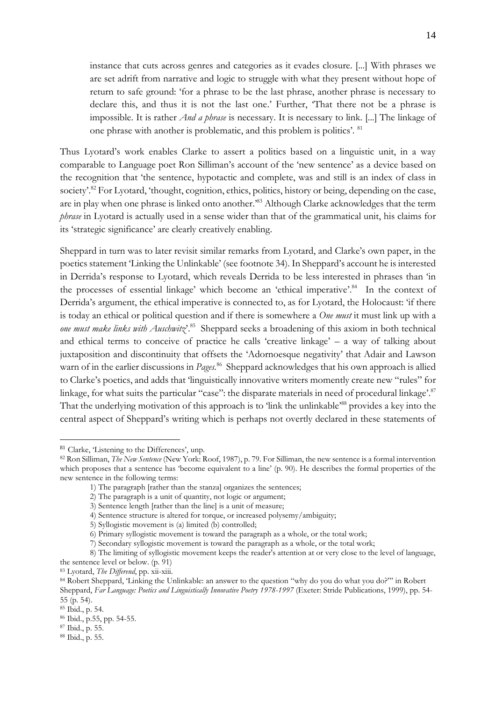instance that cuts across genres and categories as it evades closure. [...] With phrases we are set adrift from narrative and logic to struggle with what they present without hope of return to safe ground: 'for a phrase to be the last phrase, another phrase is necessary to declare this, and thus it is not the last one.' Further, 'That there not be a phrase is impossible. It is rather *And a phrase* is necessary. It is necessary to link. [...] The linkage of one phrase with another is problematic, and this problem is politics'. <sup>81</sup>

Thus Lyotard's work enables Clarke to assert a politics based on a linguistic unit, in a way comparable to Language poet Ron Silliman's account of the 'new sentence' as a device based on the recognition that 'the sentence, hypotactic and complete, was and still is an index of class in society'.<sup>82</sup> For Lyotard, 'thought, cognition, ethics, politics, history or being, depending on the case, are in play when one phrase is linked onto another.<sup>83</sup> Although Clarke acknowledges that the term *phrase* in Lyotard is actually used in a sense wider than that of the grammatical unit, his claims for its 'strategic significance' are clearly creatively enabling.

Sheppard in turn was to later revisit similar remarks from Lyotard, and Clarke's own paper, in the poetics statement 'Linking the Unlinkable' (see footnote 34). In Sheppard's account he is interested in Derrida's response to Lyotard, which reveals Derrida to be less interested in phrases than 'in the processes of essential linkage' which become an 'ethical imperative'. <sup>84</sup> In the context of Derrida's argument, the ethical imperative is connected to, as for Lyotard, the Holocaust: 'if there is today an ethical or political question and if there is somewhere a *One must* it must link up with a *one must make links with Auschwitz*'. <sup>85</sup> Sheppard seeks a broadening of this axiom in both technical and ethical terms to conceive of practice he calls 'creative linkage' – a way of talking about juxtaposition and discontinuity that offsets the 'Adornoesque negativity' that Adair and Lawson warn of in the earlier discussions in *Pages*. <sup>86</sup> Sheppard acknowledges that his own approach is allied to Clarke's poetics, and adds that 'linguistically innovative writers momently create new "rules" for linkage, for what suits the particular "case": the disparate materials in need of procedural linkage'.<sup>87</sup> That the underlying motivation of this approach is to 'link the unlinkable'<sup>88</sup> provides a key into the central aspect of Sheppard's writing which is perhaps not overtly declared in these statements of

<sup>83</sup> Lyotard, *The Differend*, pp. xii-xiii.

<sup>81</sup> Clarke, 'Listening to the Differences', unp.

<sup>82</sup> Ron Silliman, *The New Sentence* (New York: Roof, 1987), p. 79. For Silliman, the new sentence is a formal intervention which proposes that a sentence has 'become equivalent to a line' (p. 90). He describes the formal properties of the new sentence in the following terms:

<sup>1)</sup> The paragraph [rather than the stanza] organizes the sentences;

<sup>2)</sup> The paragraph is a unit of quantity, not logic or argument;

<sup>3)</sup> Sentence length [rather than the line] is a unit of measure;

<sup>4)</sup> Sentence structure is altered for torque, or increased polysemy/ambiguity;

<sup>5)</sup> Syllogistic movement is (a) limited (b) controlled;

<sup>6)</sup> Primary syllogistic movement is toward the paragraph as a whole, or the total work;

<sup>7)</sup> Secondary syllogistic movement is toward the paragraph as a whole, or the total work;

<sup>8)</sup> The limiting of syllogistic movement keeps the reader's attention at or very close to the level of language, the sentence level or below. (p. 91)

<sup>84</sup> Robert Sheppard, 'Linking the Unlinkable: an answer to the question "why do you do what you do?"' in Robert Sheppard, *Far Language: Poetics and Linguistically Innovative Poetry 1978-1997* (Exeter: Stride Publications, 1999), pp. 54- 55 (p. 54).

<sup>85</sup> Ibid., p. 54.

<sup>86</sup> Ibid., p.55, pp. 54-55.

<sup>87</sup> Ibid., p. 55.

<sup>88</sup> Ibid., p. 55.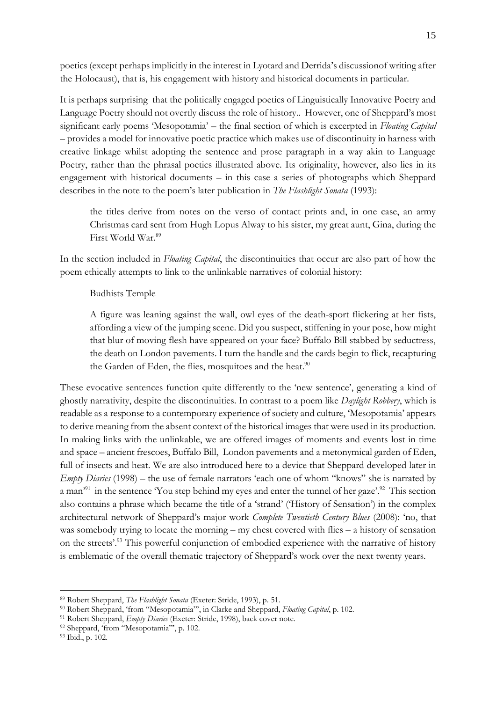poetics (except perhaps implicitly in the interest in Lyotard and Derrida's discussionof writing after the Holocaust), that is, his engagement with history and historical documents in particular.

It is perhaps surprising that the politically engaged poetics of Linguistically Innovative Poetry and Language Poetry should not overtly discuss the role of history.. However, one of Sheppard's most significant early poems 'Mesopotamia' – the final section of which is excerpted in *Floating Capital* – provides a model for innovative poetic practice which makes use of discontinuity in harness with creative linkage whilst adopting the sentence and prose paragraph in a way akin to Language Poetry, rather than the phrasal poetics illustrated above. Its originality, however, also lies in its engagement with historical documents – in this case a series of photographs which Sheppard describes in the note to the poem's later publication in *The Flashlight Sonata* (1993):

the titles derive from notes on the verso of contact prints and, in one case, an army Christmas card sent from Hugh Lopus Alway to his sister, my great aunt, Gina, during the First World War.<sup>89</sup>

In the section included in *Floating Capital*, the discontinuities that occur are also part of how the poem ethically attempts to link to the unlinkable narratives of colonial history:

## Budhists Temple

A figure was leaning against the wall, owl eyes of the death-sport flickering at her fists, affording a view of the jumping scene. Did you suspect, stiffening in your pose, how might that blur of moving flesh have appeared on your face? Buffalo Bill stabbed by seductress, the death on London pavements. I turn the handle and the cards begin to flick, recapturing the Garden of Eden, the flies, mosquitoes and the heat. $90$ 

These evocative sentences function quite differently to the 'new sentence', generating a kind of ghostly narrativity, despite the discontinuities. In contrast to a poem like *Daylight Robbery*, which is readable as a response to a contemporary experience of society and culture, 'Mesopotamia' appears to derive meaning from the absent context of the historical images that were used in its production. In making links with the unlinkable, we are offered images of moments and events lost in time and space – ancient frescoes, Buffalo Bill, London pavements and a metonymical garden of Eden, full of insects and heat. We are also introduced here to a device that Sheppard developed later in *Empty Diaries* (1998) – the use of female narrators 'each one of whom "knows" she is narrated by a man<sup>'91</sup> in the sentence 'You step behind my eyes and enter the tunnel of her gaze'.<sup>92</sup> This section also contains a phrase which became the title of a 'strand' ('History of Sensation') in the complex architectural network of Sheppard's major work *Complete Twentieth Century Blues* (2008): 'no, that was somebody trying to locate the morning – my chest covered with flies – a history of sensation on the streets'.<sup>93</sup> This powerful conjunction of embodied experience with the narrative of history is emblematic of the overall thematic trajectory of Sheppard's work over the next twenty years.

<sup>89</sup> Robert Sheppard, *The Flashlight Sonata* (Exeter: Stride, 1993), p. 51.

<sup>90</sup> Robert Sheppard, 'from "Mesopotamia"', in Clarke and Sheppard, *Floating Capital*, p. 102.

<sup>91</sup> Robert Sheppard, *Empty Diaries* (Exeter: Stride, 1998), back cover note.

<sup>92</sup> Sheppard, 'from "Mesopotamia"', p. 102.

<sup>93</sup> Ibid., p. 102.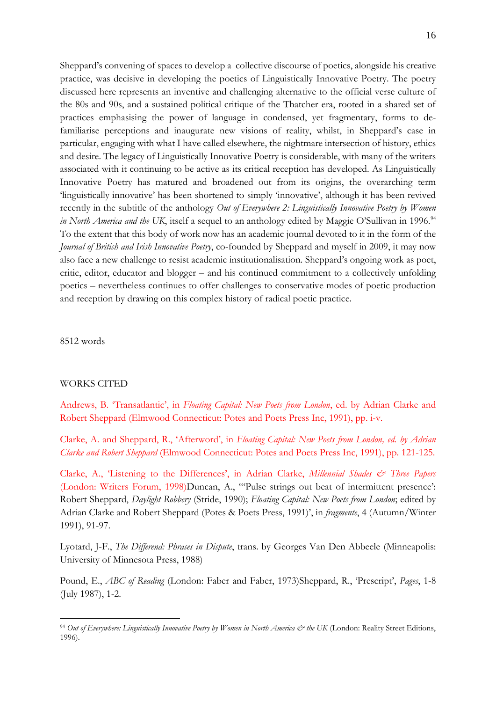Sheppard's convening of spaces to develop a collective discourse of poetics, alongside his creative practice, was decisive in developing the poetics of Linguistically Innovative Poetry. The poetry discussed here represents an inventive and challenging alternative to the official verse culture of the 80s and 90s, and a sustained political critique of the Thatcher era, rooted in a shared set of practices emphasising the power of language in condensed, yet fragmentary, forms to defamiliarise perceptions and inaugurate new visions of reality, whilst, in Sheppard's case in particular, engaging with what I have called elsewhere, the nightmare intersection of history, ethics and desire. The legacy of Linguistically Innovative Poetry is considerable, with many of the writers associated with it continuing to be active as its critical reception has developed. As Linguistically Innovative Poetry has matured and broadened out from its origins, the overarching term 'linguistically innovative' has been shortened to simply 'innovative', although it has been revived recently in the subtitle of the anthology *Out of Everywhere 2: Linguistically Innovative Poetry by Women in North America and the UK*, itself a sequel to an anthology edited by Maggie O'Sullivan in 1996.<sup>94</sup> To the extent that this body of work now has an academic journal devoted to it in the form of the *Journal of British and Irish Innovative Poetry*, co-founded by Sheppard and myself in 2009, it may now also face a new challenge to resist academic institutionalisation. Sheppard's ongoing work as poet, critic, editor, educator and blogger – and his continued commitment to a collectively unfolding poetics – nevertheless continues to offer challenges to conservative modes of poetic production and reception by drawing on this complex history of radical poetic practice.

8512 words

1

## WORKS CITED

Andrews, B. 'Transatlantic', in *Floating Capital: New Poets from London*, ed. by Adrian Clarke and Robert Sheppard (Elmwood Connecticut: Potes and Poets Press Inc, 1991), pp. i-v.

Clarke, A. and Sheppard, R., 'Afterword', in *Floating Capital: New Poets from London, ed. by Adrian Clarke and Robert Sheppard* (Elmwood Connecticut: Potes and Poets Press Inc, 1991), pp. 121-125.

Clarke, A., 'Listening to the Differences', in Adrian Clarke, *Millennial Shades & Three Papers*  (London: Writers Forum, 1998)Duncan, A., "'Pulse strings out beat of intermittent presence': Robert Sheppard, *Daylight Robbery* (Stride, 1990); *Floating Capital: New Poets from London*; edited by Adrian Clarke and Robert Sheppard (Potes & Poets Press, 1991)', in *fragmente*, 4 (Autumn/Winter 1991), 91-97.

Lyotard, J-F., *The Differend: Phrases in Dispute*, trans. by Georges Van Den Abbeele (Minneapolis: University of Minnesota Press, 1988)

Pound, E., *ABC of Reading* (London: Faber and Faber, 1973)Sheppard, R., 'Prescript', *Pages*, 1-8 (July 1987), 1-2.

<sup>&</sup>lt;sup>94</sup> Out of Everywhere: Linguistically Innovative Poetry by Women in North America & the UK (London: Reality Street Editions, 1996).